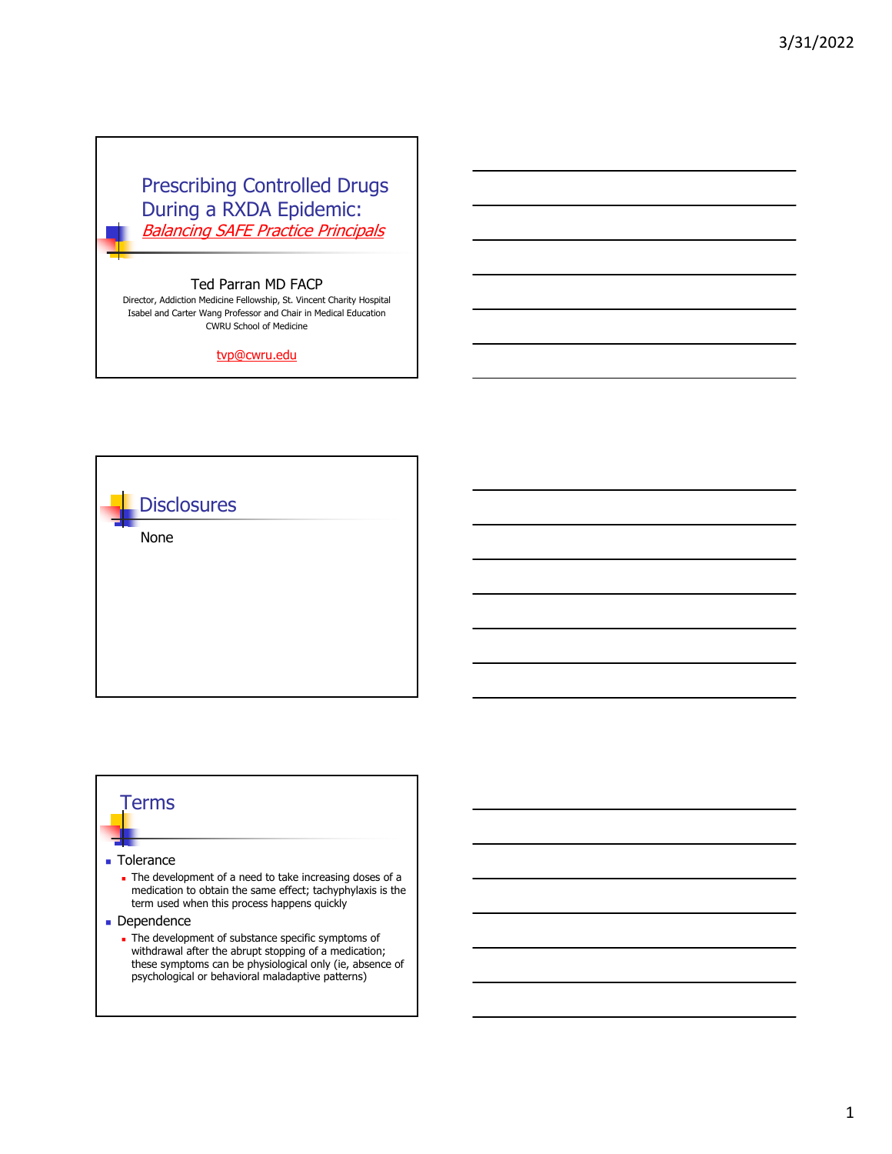# Prescribing Controlled Drugs During a RXDA Epidemic: Balancing SAFE Practice Principals

## Ted Parran MD FACP

Director, Addiction Medicine Fellowship, St. Vincent Charity Hospital Isabel and Carter Wang Professor and Chair in Medical Education CWRU School of Medicine

tvp@cwru.edu



# Terms

#### **Tolerance**

#### The development of a need to take increasing doses of a medication to obtain the same effect; tachyphylaxis is the term used when this process happens quickly

- **Dependence** 
	- The development of substance specific symptoms of withdrawal after the abrupt stopping of a medication; these symptoms can be physiological only (ie, absence of psychological or behavioral maladaptive patterns)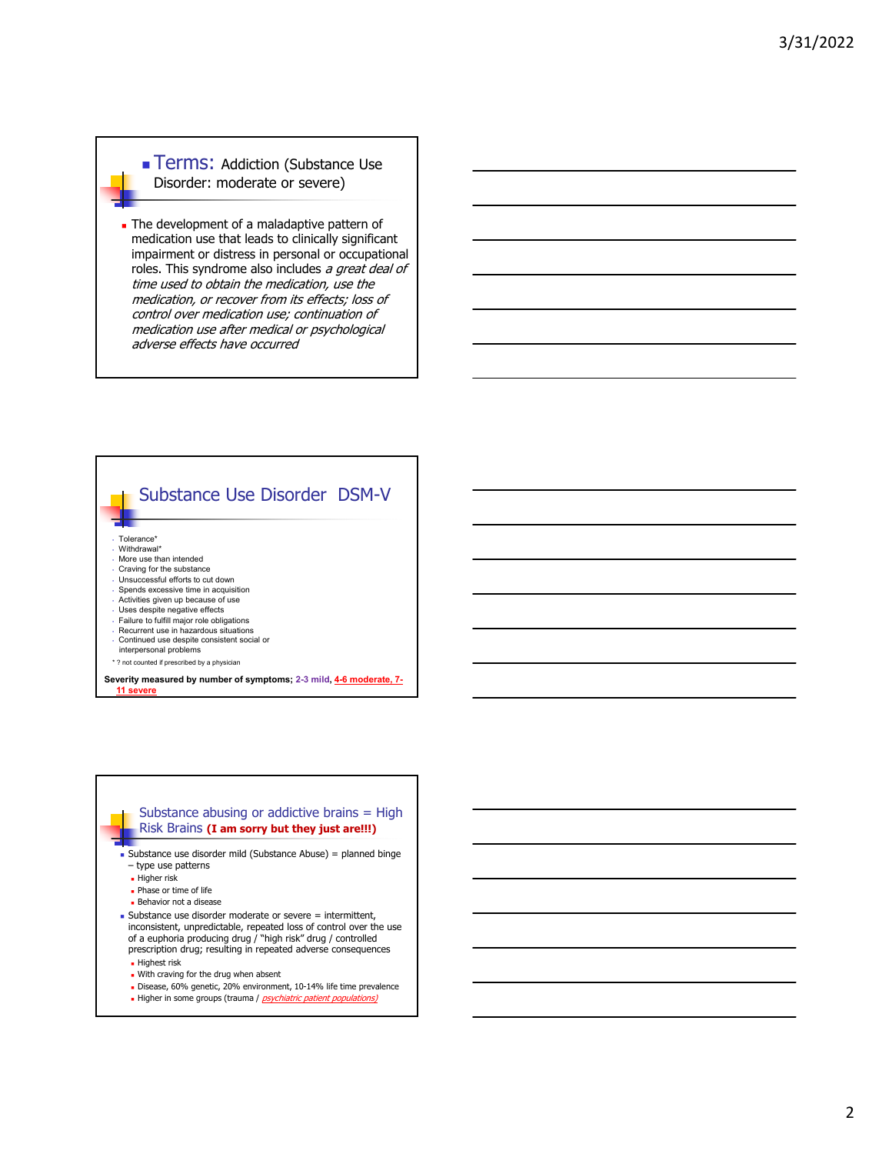**Terms: Addiction (Substance Use** Disorder: moderate or severe)

The development of a maladaptive pattern of medication use that leads to clinically significant impairment or distress in personal or occupational roles. This syndrome also includes a great deal of time used to obtain the medication, use the medication, or recover from its effects; loss of control over medication use; continuation of medication use after medical or psychological adverse effects have occurred



### Substance abusing or addictive brains  $=$  High Risk Brains **(I am sorry but they just are!!!)**

- Substance use disorder mild (Substance Abuse) = planned binge – type use patterns
	- **Higher risk**
	- Phase or time of life
	- **Behavior not a disease**
- $\blacksquare$  Substance use disorder moderate or severe  $=$  intermittent, inconsistent, unpredictable, repeated loss of control over the use of a euphoria producing drug / "high risk" drug / controlled prescription drug; resulting in repeated adverse consequences
	- **Highest risk**
	- . With craving for the drug when absent
	- Disease, 60% genetic, 20% environment, 10-14% life time prevalence
	- Higher in some groups (trauma / *psychiatric patient populations)*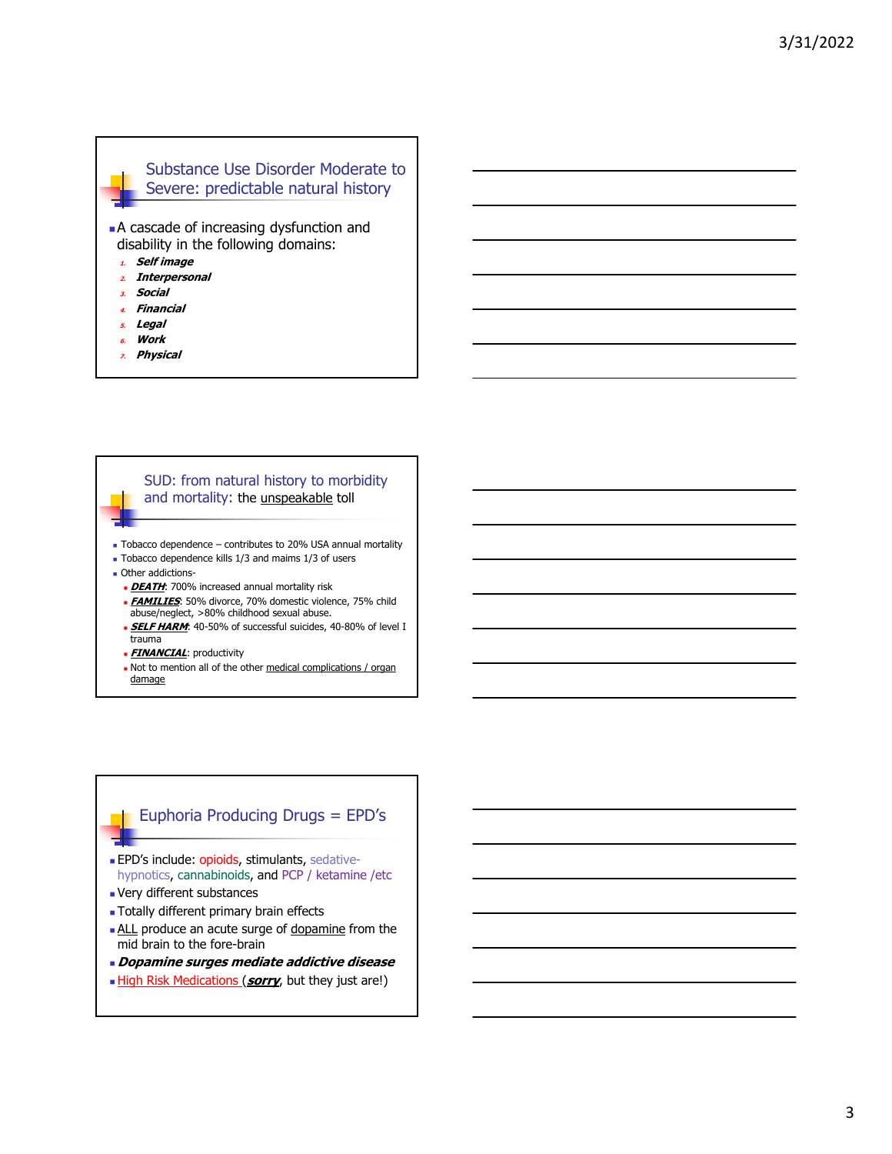## Substance Use Disorder Moderate to Severe: predictable natural history

 A cascade of increasing dysfunction and disability in the following domains:

- **1. Self image**
- **2. Interpersonal**
- **3. Social**
- **4. Financial**
- **5. Legal**
- **6. Work**
- **7. Physical**

### SUD: from natural history to morbidity and mortality: the unspeakable toll

- Tobacco dependence contributes to 20% USA annual mortality
- Tobacco dependence kills 1/3 and maims 1/3 of users
- **Other addictions-**
	- **DEATH:** 700% increased annual mortality risk
	- **FAMILIES**: 50% divorce, 70% domestic violence, 75% child abuse/neglect, >80% childhood sexual abuse.
	- **SELF HARM:** 40-50% of successful suicides, 40-80% of level I trauma
	- **EINANCIAL:** productivity
	- Not to mention all of the other medical complications / organ damage

# Euphoria Producing Drugs = EPD's

- **EPD's include: opioids, stimulants, sedative**hypnotics, cannabinoids, and PCP / ketamine /etc
- Very different substances
- **Totally different primary brain effects**
- **ALL** produce an acute surge of dopamine from the mid brain to the fore-brain
- **Dopamine surges mediate addictive disease**
- **High Risk Medications (sorry**, but they just are!)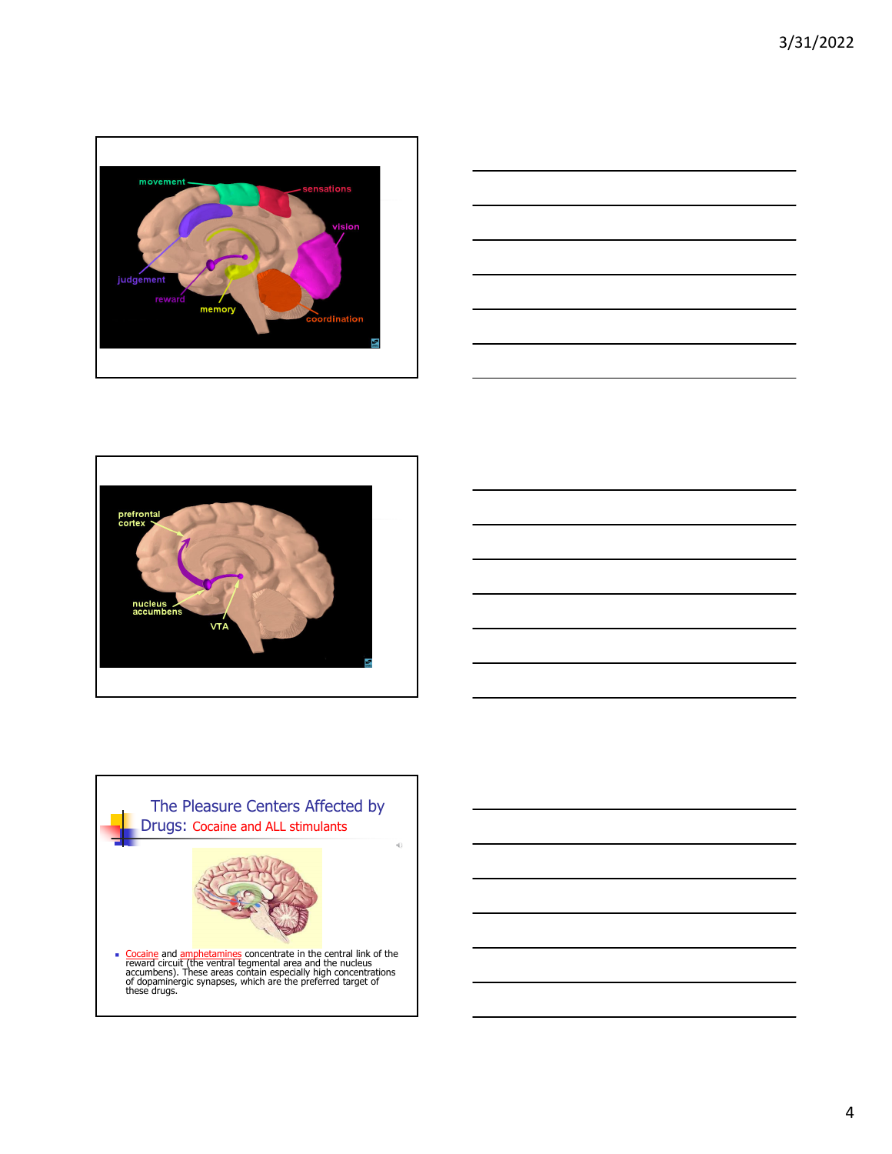







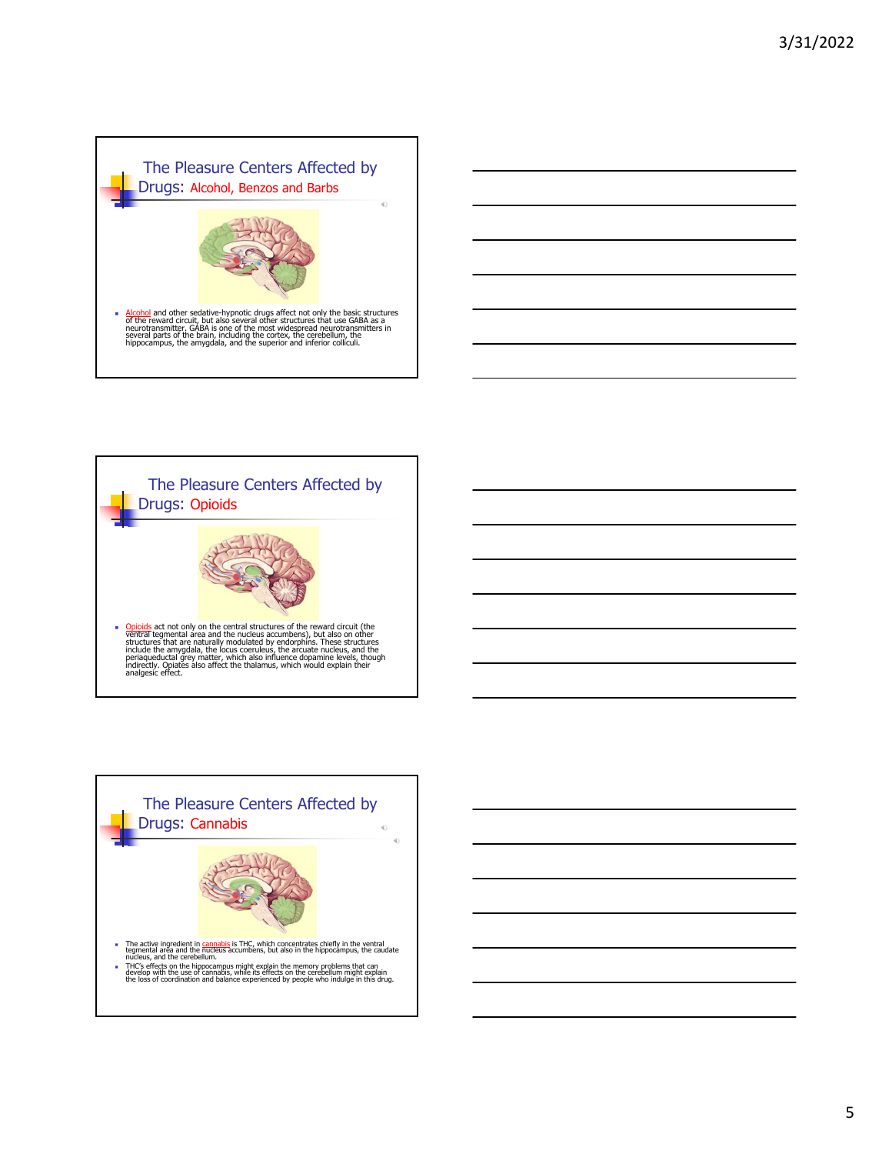







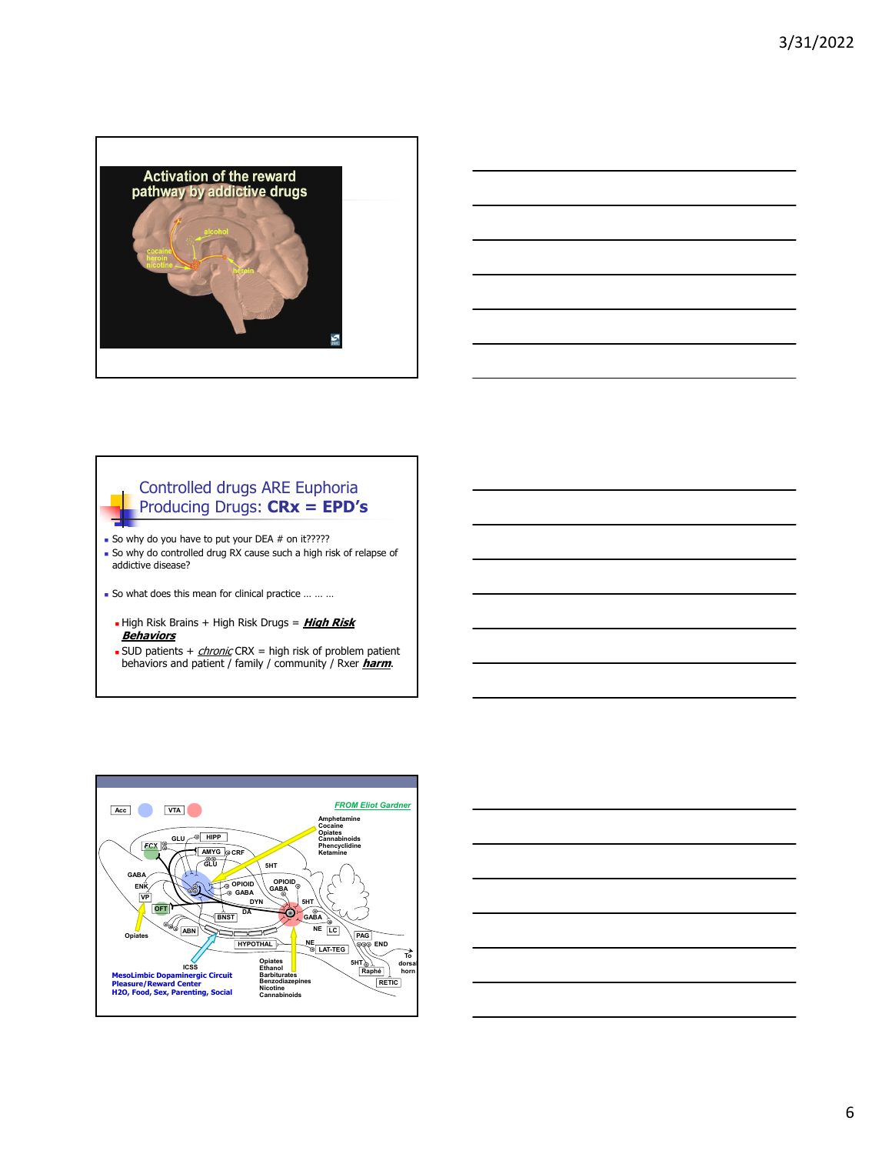



## Controlled drugs ARE Euphoria Producing Drugs: **CRx = EPD's**

So why do you have to put your DEA  $#$  on it????? So why do controlled drug RX cause such a high risk of relapse of addictive disease?

- So what does this mean for clinical practice … … …
	- High Risk Brains + High Risk Drugs = **High Risk Behaviors**
	- SUD patients  $+$  *chronic* CRX = high risk of problem patient behaviors and patient / family / community / Rxer **harm**.



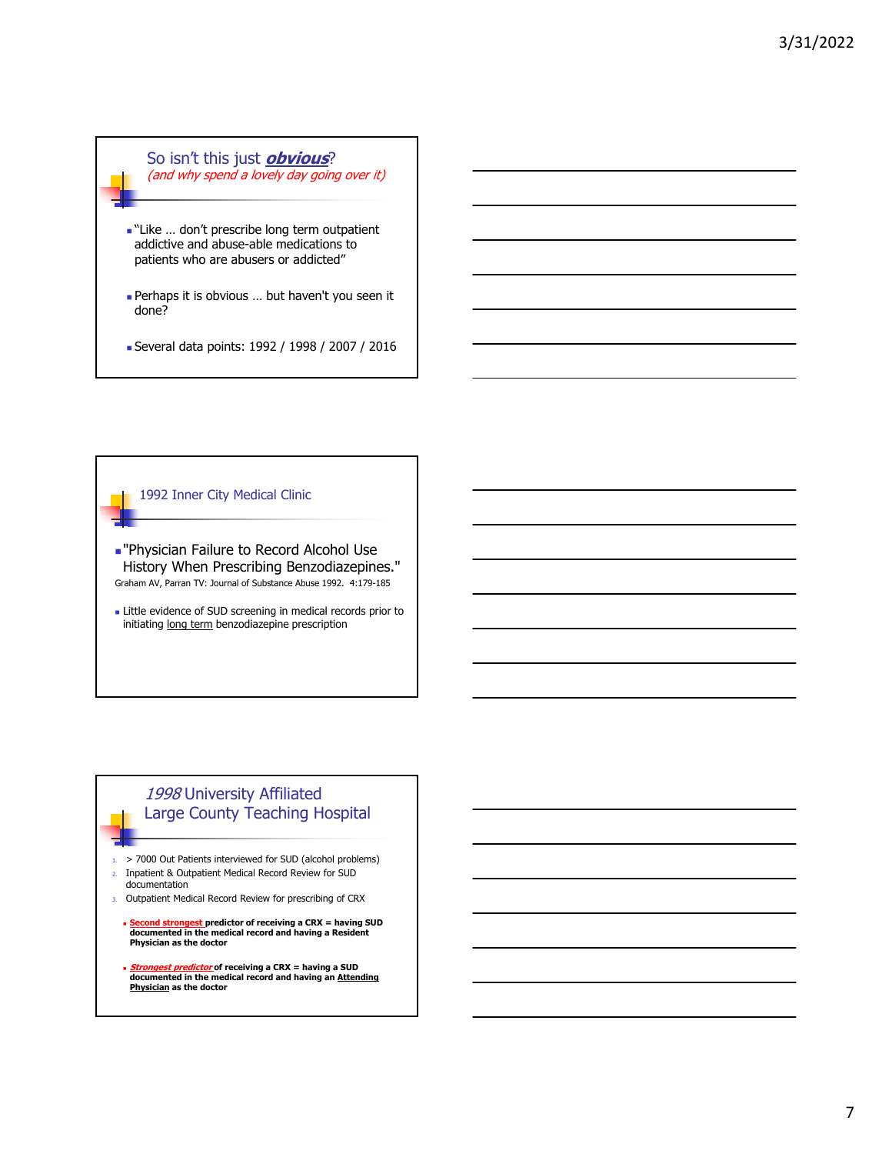So isn't this just **obvious**? (and why spend a lovely day going over it)

- -"Like ... don't prescribe long term outpatient addictive and abuse-able medications to patients who are abusers or addicted"
- Perhaps it is obvious … but haven't you seen it done?
- Several data points: 1992 / 1998 / 2007 / 2016

1992 Inner City Medical Clinic

- "Physician Failure to Record Alcohol Use History When Prescribing Benzodiazepines." Graham AV, Parran TV: Journal of Substance Abuse 1992. 4:179-185
- **Little evidence of SUD screening in medical records prior to** initiating long term benzodiazepine prescription

# 1998 University Affiliated Large County Teaching Hospital

1. > 7000 Out Patients interviewed for SUD (alcohol problems) 2. Inpatient & Outpatient Medical Record Review for SUD documentation

- 3. Outpatient Medical Record Review for prescribing of CRX
	- **<u>Cond strongest</u> predictor of receiving a CRX = having SUD documented in the medical record and having a Resident Physician as the doctor**
	- **Strongest predictor of receiving a CRX = having a SUD documented in the medical record and having an Attending Physician as the doctor**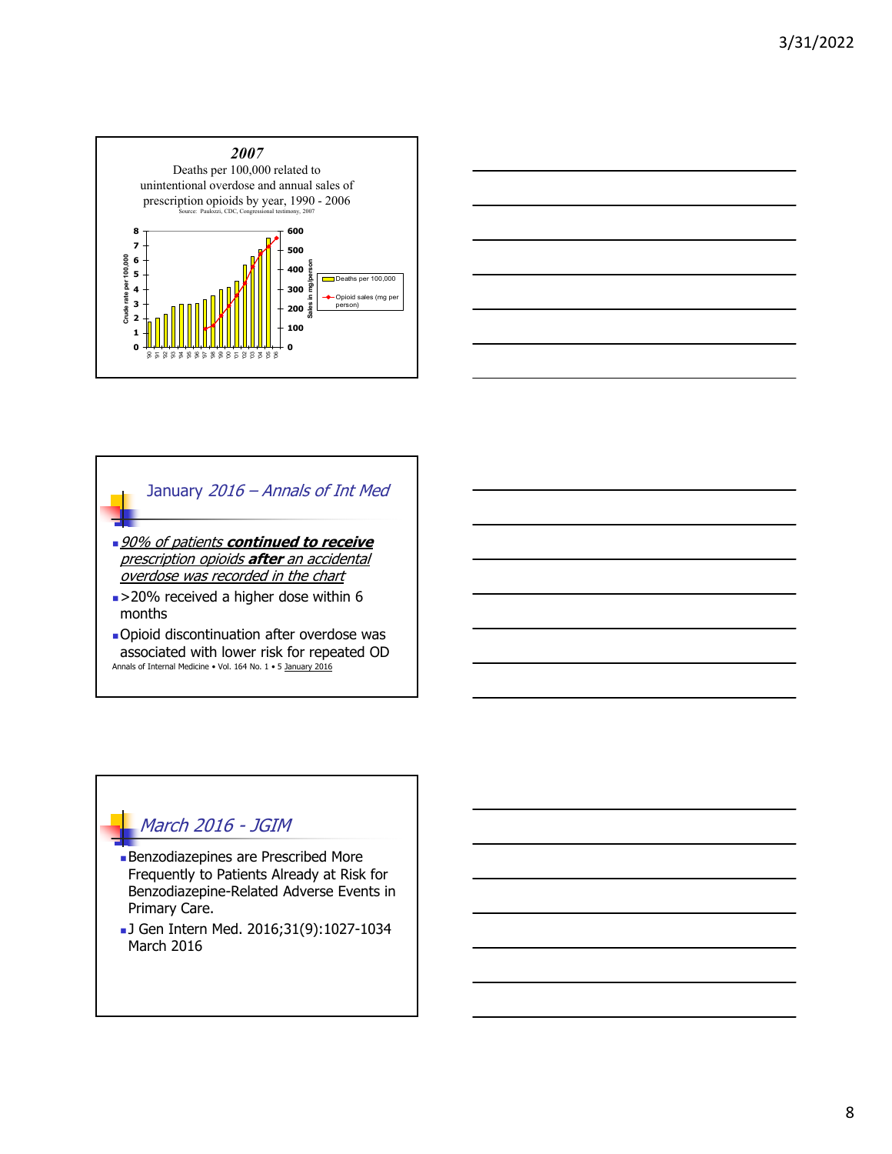



# January 2016 – Annals of Int Med 90% of patients **continued to receive**  prescription opioids **after** an accidental overdose was recorded in the chart  $\blacktriangleright$  **20% received a higher dose within 6** months Opioid discontinuation after overdose was associated with lower risk for repeated OD

# March 2016 - JGIM

Annals of Internal Medicine • Vol. 164 No. 1 • 5 January 2016

- Benzodiazepines are Prescribed More Frequently to Patients Already at Risk for Benzodiazepine-Related Adverse Events in Primary Care.
- J Gen Intern Med. 2016;31(9):1027-1034 March 2016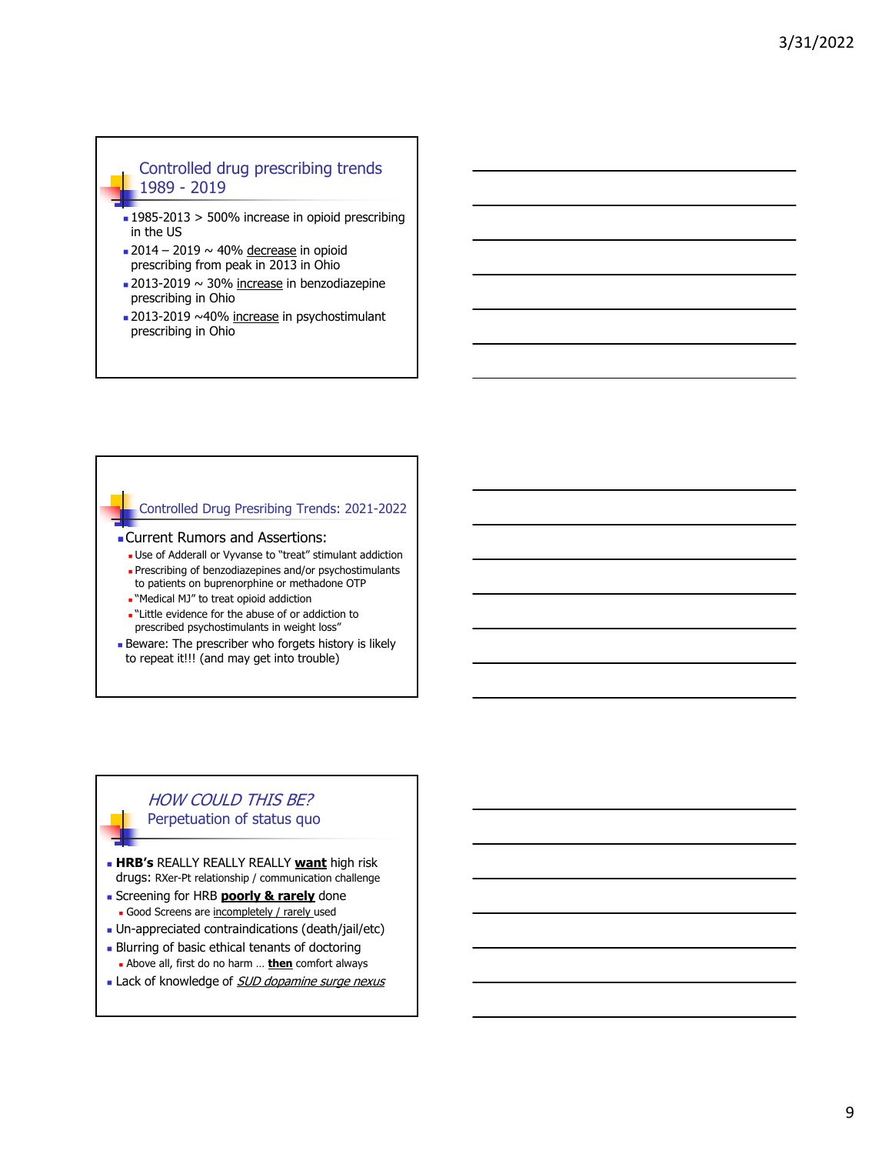## Controlled drug prescribing trends 1989 - 2019

- 1985-2013 > 500% increase in opioid prescribing in the US
- $\approx$  2014 2019  $\sim$  40% decrease in opioid prescribing from peak in 2013 in Ohio
- $\approx$  2013-2019  $\sim$  30% increase in benzodiazepine prescribing in Ohio
- 2013-2019 ~40% increase in psychostimulant prescribing in Ohio

## Controlled Drug Presribing Trends: 2021-2022

- Current Rumors and Assertions:
	- Use of Adderall or Vyvanse to "treat" stimulant addiction
	- Prescribing of benzodiazepines and/or psychostimulants to patients on buprenorphine or methadone OTP
	- "Medical MJ" to treat opioid addiction
	- -"Little evidence for the abuse of or addiction to prescribed psychostimulants in weight loss"
- **Beware: The prescriber who forgets history is likely** to repeat it!!! (and may get into trouble)

## HOW COULD THIS BE? Perpetuation of status quo

- **HRB's** REALLY REALLY REALLY **want** high risk drugs: RXer-Pt relationship / communication challenge
- **Screening for HRB poorly & rarely** done Good Screens are incompletely / rarely used
- Un-appreciated contraindications (death/jail/etc)
- **Blurring of basic ethical tenants of doctoring**
- Above all, first do no harm … **then** comfort always Lack of knowledge of **SUD dopamine surge nexus**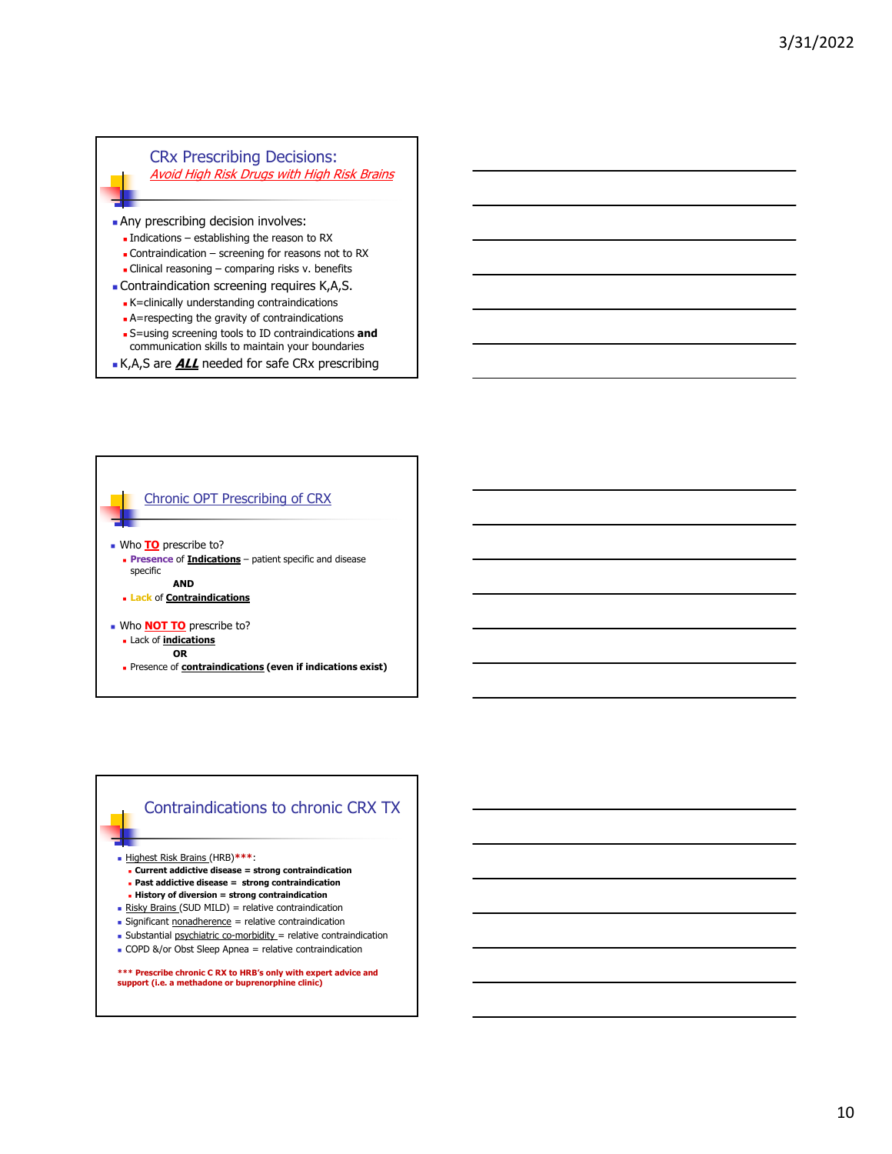### CRx Prescribing Decisions: Avoid High Risk Drugs with High Risk Brains

Any prescribing decision involves:

- $\blacksquare$  Indications establishing the reason to RX
- **Contraindication screening for reasons not to RX**

 $\blacksquare$  Clinical reasoning – comparing risks v. benefits

- Contraindication screening requires K,A,S.
	- K=clinically understanding contraindications
	- **A**=respecting the gravity of contraindications
	- S=using screening tools to ID contraindications **and**  communication skills to maintain your boundaries
- **K,A,S are ALL** needed for safe CRx prescribing



## Contraindications to chronic CRX TX

Highest Risk Brains (HRB)**\*\*\***:

- **Current addictive disease = strong contraindication**
- **Past addictive disease = strong contraindication**
- **History of diversion = strong contraindication**
- Risky Brains (SUD MILD) = relative contraindication
- $S$  Significant nonadherence = relative contraindication
- Substantial psychiatric co-morbidity = relative contraindication

COPD &/or Obst Sleep Apnea = relative contraindication

**\*\*\* Prescribe chronic C RX to HRB's only with expert advice and support (i.e. a methadone or buprenorphine clinic)**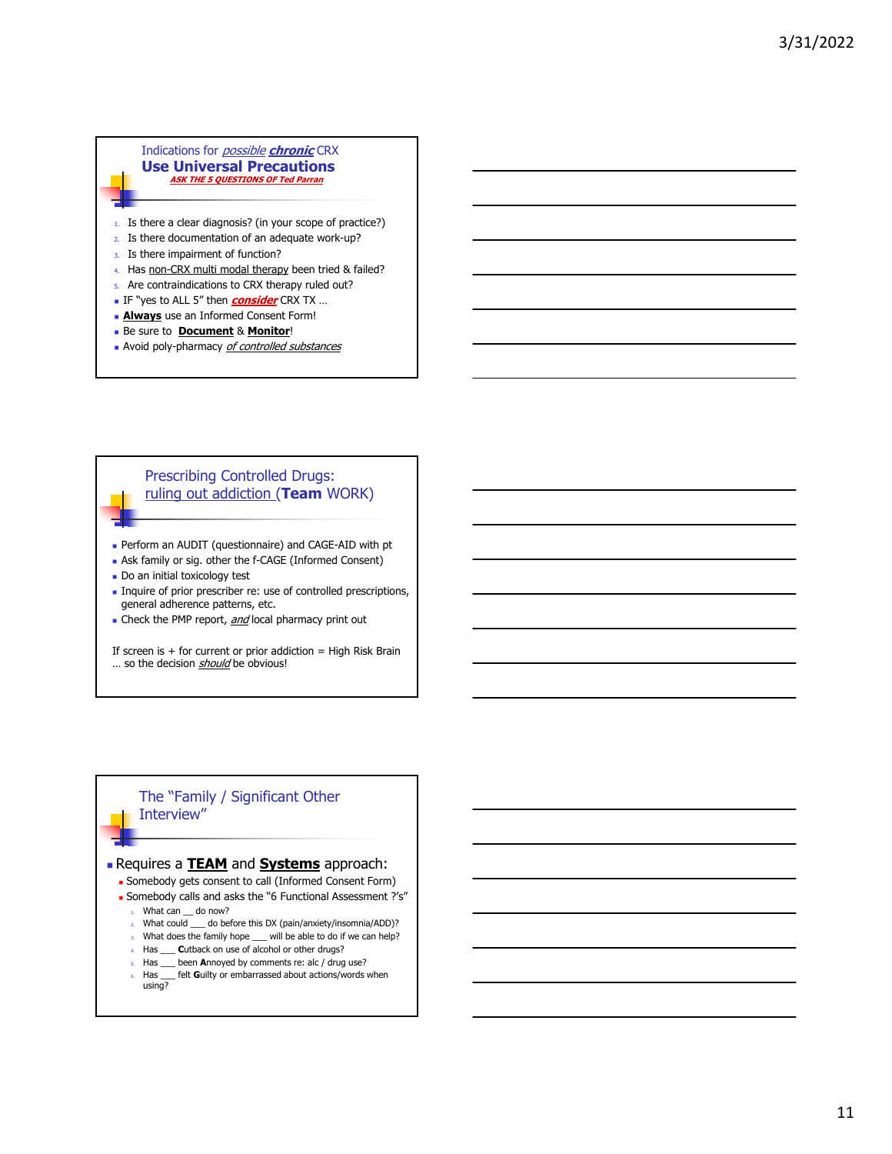### Indications for possible **chronic** CRX **Use Universal Precautions ASK THE 5 QUESTIONS OF Ted Parran**

- 1. Is there a clear diagnosis? (in your scope of practice?)
- 2. Is there documentation of an adequate work-up?
- 3. Is there impairment of function?
- 4. Has non-CRX multi modal therapy been tried & failed?
- 5. Are contraindications to CRX therapy ruled out?
- IF "yes to ALL 5" then **consider** CRX TX …
- **Always** use an Informed Consent Form!
- Be sure to **Document** & **Monitor**!
- Noid poly-pharmacy of controlled substances

## Prescribing Controlled Drugs: ruling out addiction (**Team** WORK)

- Perform an AUDIT (questionnaire) and CAGE-AID with pt
- Ask family or sig. other the f-CAGE (Informed Consent)
- Do an initial toxicology test
- Inquire of prior prescriber re: use of controlled prescriptions, general adherence patterns, etc.
- Check the PMP report, and local pharmacy print out

If screen is  $+$  for current or prior addiction  $=$  High Risk Brain ... so the decision should be obvious!

## The "Family / Significant Other Interview"

### Requires a **TEAM** and **Systems** approach:

- Somebody gets consent to call (Informed Consent Form)
- Somebody calls and asks the "6 Functional Assessment ?'s"
	- $1.$  What can  $\_\_$  do now?
	- 2. What could \_\_\_ do before this DX (pain/anxiety/insomnia/ADD)?
	- 3. What does the family hope \_\_\_ will be able to do if we can help?
	- 4. Has \_\_\_ **C**utback on use of alcohol or other drugs?
	- 5. Has \_\_\_ been **A**nnoyed by comments re: alc / drug use?
	- 6. Has \_\_\_ felt **G**uilty or embarrassed about actions/words when using?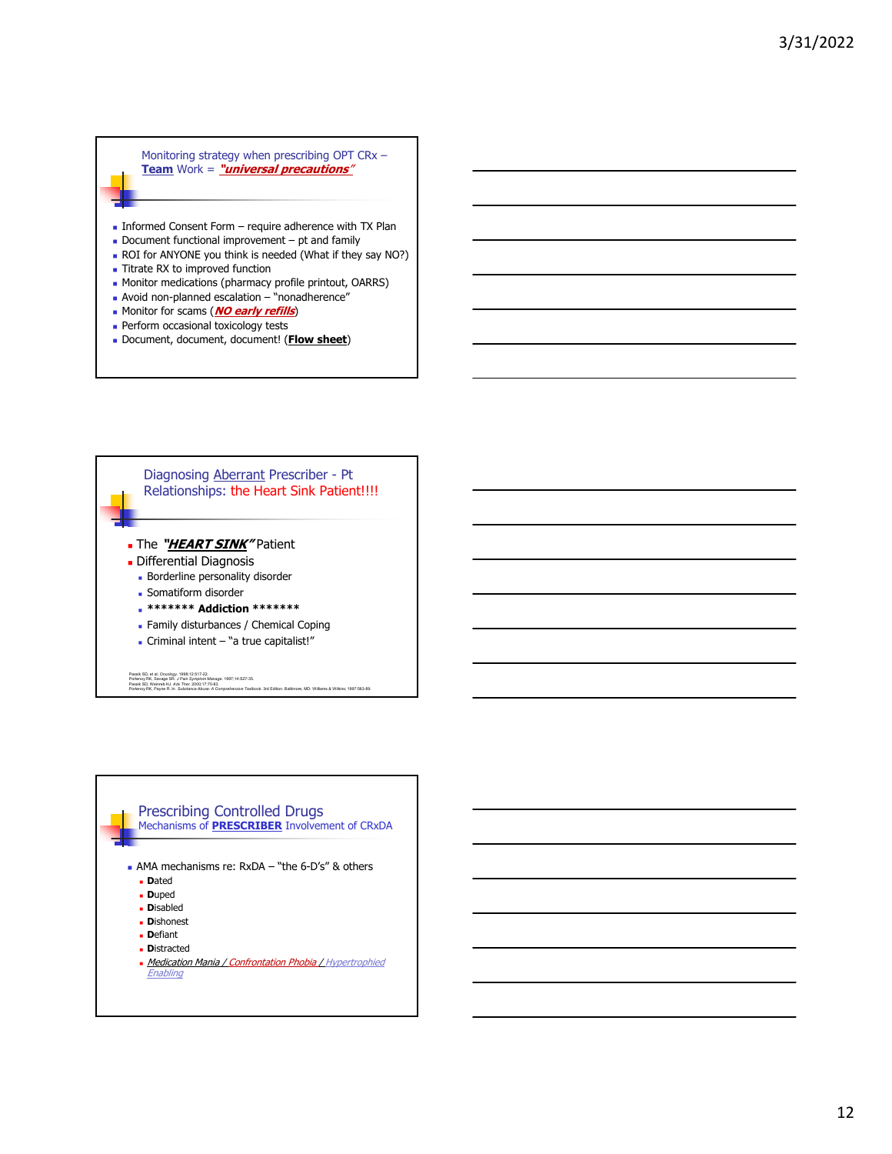Monitoring strategy when prescribing OPT CRx – **Team** Work = **"universal precautions**"

- Informed Consent Form require adherence with TX Plan
- Document functional improvement pt and family
- ROI for ANYONE you think is needed (What if they say NO?)
- **Titrate RX to improved function**
- **Monitor medications (pharmacy profile printout, OARRS)**
- Avoid non-planned escalation "nonadherence"
- **Monitor for scams (NO early refills)**
- **Perform occasional toxicology tests**
- Document, document, document! (**Flow sheet**)



# Prescribing Controlled Drugs Mechanisms of **PRESCRIBER** Involvement of CRxDA

- AMA mechanisms re: RxDA "the 6-D's" & others
	- **D**ated
	- **D**uped
	- **D**isabled
	- **D**ishonest
	- **D**efiant
	- **D**istracted
	- **Medication Mania / Confrontation Phobia / Hypertrophied Enabling**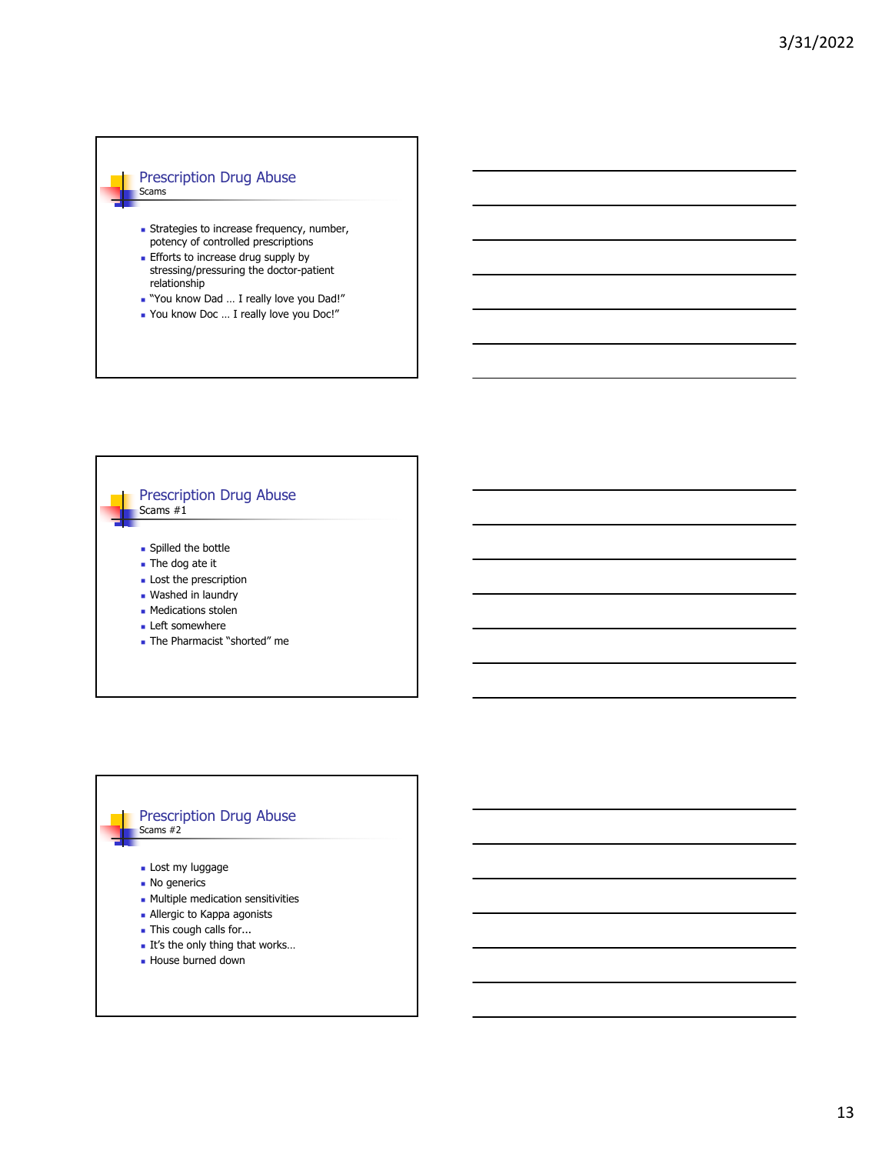### Prescription Drug Abuse Scams

- **Strategies to increase frequency, number,** potency of controlled prescriptions
- **Efforts to increase drug supply by** stressing/pressuring the doctor-patient relationship
- "You know Dad … I really love you Dad!"
- You know Doc … I really love you Doc!"



#### Prescription Drug Abuse Scams #2

- 
- **Lost my luggage**
- **No generics**
- **Multiple medication sensitivities**
- Allergic to Kappa agonists
- **This cough calls for...**
- It's the only thing that works...
- House burned down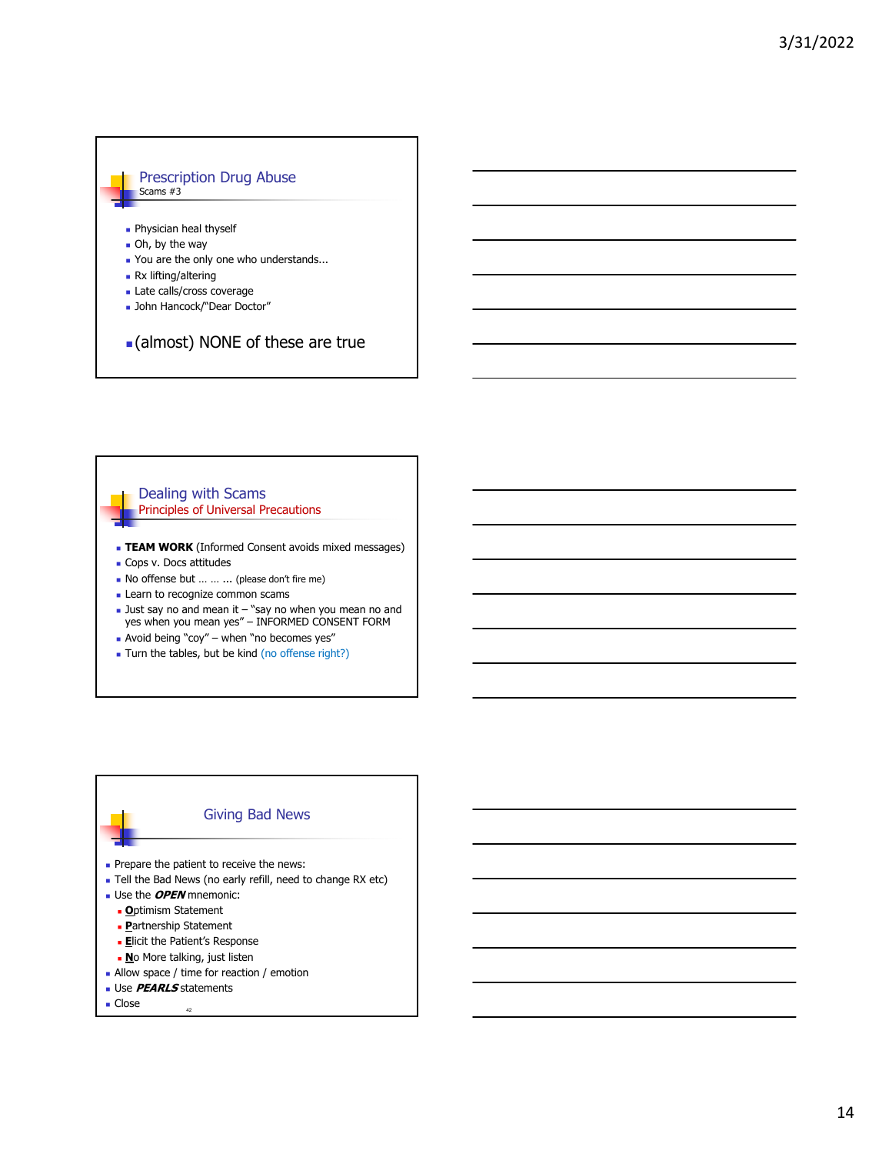#### Prescription Drug Abuse Scams #3

#### **Physician heal thyself**

- Oh, by the way
- You are the only one who understands...
- Rx lifting/altering
- **Late calls/cross coverage**
- John Hancock/"Dear Doctor"

## (almost) NONE of these are true

### Dealing with Scams Principles of Universal Precautions

- **TEAM WORK** (Informed Consent avoids mixed messages)
- Cops v. Docs attitudes
- No offense but … … ... (please don't fire me)
- **Learn to recognize common scams**
- $\blacksquare$  Just say no and mean it  $-$  "say no when you mean no and yes when you mean yes" – INFORMED CONSENT FORM
- Avoid being "coy" when "no becomes yes"
- Turn the tables, but be kind (no offense right?)

# Giving Bad News Prepare the patient to receive the news: Tell the Bad News (no early refill, need to change RX etc) Use the **OPEN** mnemonic: **O**ptimism Statement

- 
- **P**artnership Statement
- **Elicit the Patient's Response**
- **No More talking, just listen**
- **Allow space / time for reaction / emotion**
- **Use PEARLS** statements
- $\blacksquare$  Close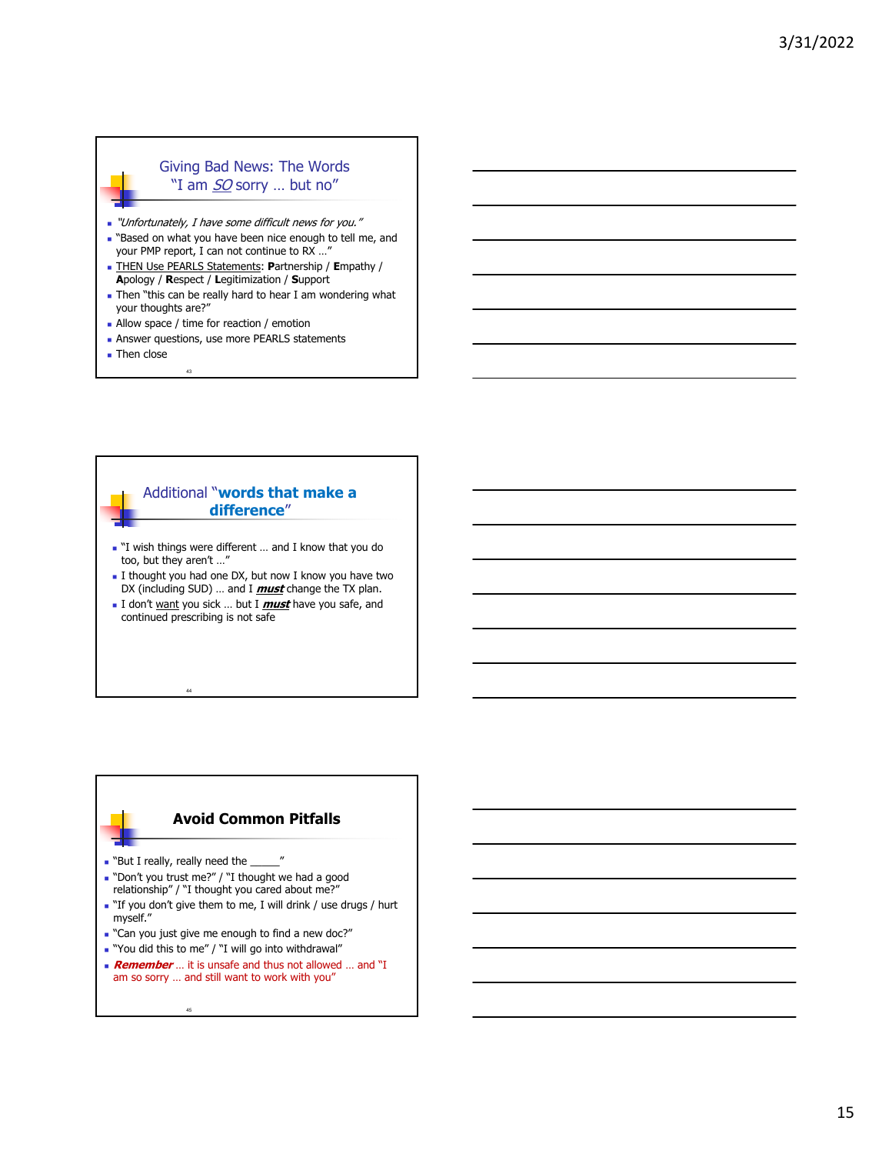## Giving Bad News: The Words "I am SO sorry ... but no"

- "Unfortunately, I have some difficult news for you."
- **Based on what you have been nice enough to tell me, and** your PMP report, I can not continue to RX …"
- THEN Use PEARLS Statements: **P**artnership / **E**mpathy / **A**pology / **R**espect / **L**egitimization / **S**upport
- **Then "this can be really hard to hear I am wondering what** your thoughts are?"
- **Allow space / time for reaction / emotion**

43

- **Answer questions, use more PEARLS statements**
- **Then close**

## Additional "**words that make a difference**"

- "I wish things were different … and I know that you do too, but they aren't ...
- I thought you had one DX, but now I know you have two DX (including SUD) … and I **must** change the TX plan.
- I don't want you sick … but I **must** have you safe, and continued prescribing is not safe

## **Avoid Common Pitfalls**

. "But I really, really need the

45

44

- Don't you trust me?" / "I thought we had a good relationship" / "I thought you cared about me?"
- "If you don't give them to me, I will drink / use drugs / hurt myself."
- . "Can you just give me enough to find a new doc?"
- "You did this to me" / "I will go into withdrawal"
- **Remember** ... it is unsafe and thus not allowed ... and "I am so sorry … and still want to work with you"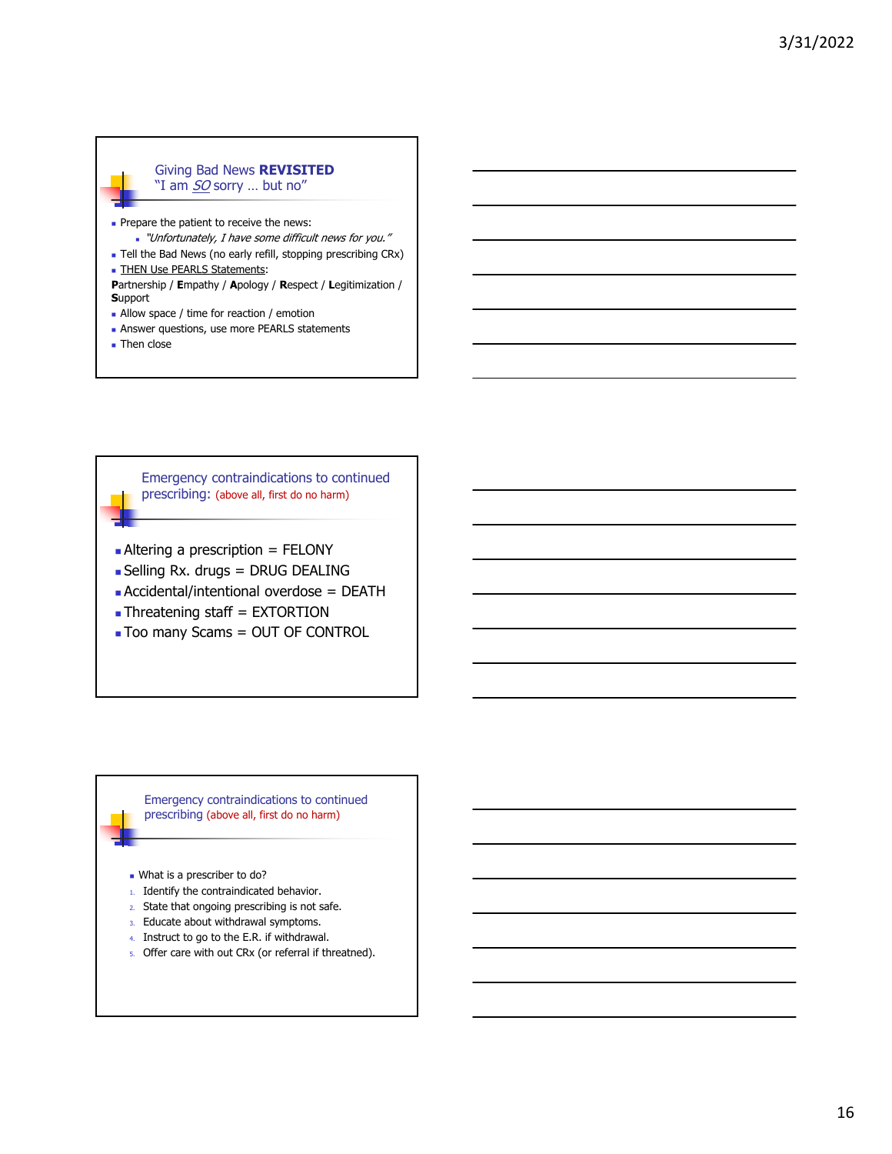### Giving Bad News **REVISITED** "I am *SO* sorry ... but no"

- Prepare the patient to receive the news: "Unfortunately, I have some difficult news for you."
- **Tell the Bad News (no early refill, stopping prescribing CRx)**
- **THEN Use PEARLS Statements:**
- **P**artnership / **E**mpathy / **A**pology / **R**espect / **L**egitimization / **S**upport
- Allow space / time for reaction / emotion
- **Answer questions, use more PEARLS statements**
- **Then close**

Emergency contraindications to continued prescribing: (above all, first do no harm)

- $\blacksquare$  Altering a prescription = FELONY
- Selling Rx. drugs = DRUG DEALING
- Accidental/intentional overdose = DEATH
- Threatening staff = EXTORTION
- **Too many Scams = OUT OF CONTROL**

Emergency contraindications to continued prescribing (above all, first do no harm)

- What is a prescriber to do?
- 1. Identify the contraindicated behavior.
- 2. State that ongoing prescribing is not safe.
- 3. Educate about withdrawal symptoms.
- 4. Instruct to go to the E.R. if withdrawal.
- 5. Offer care with out CRx (or referral if threatned).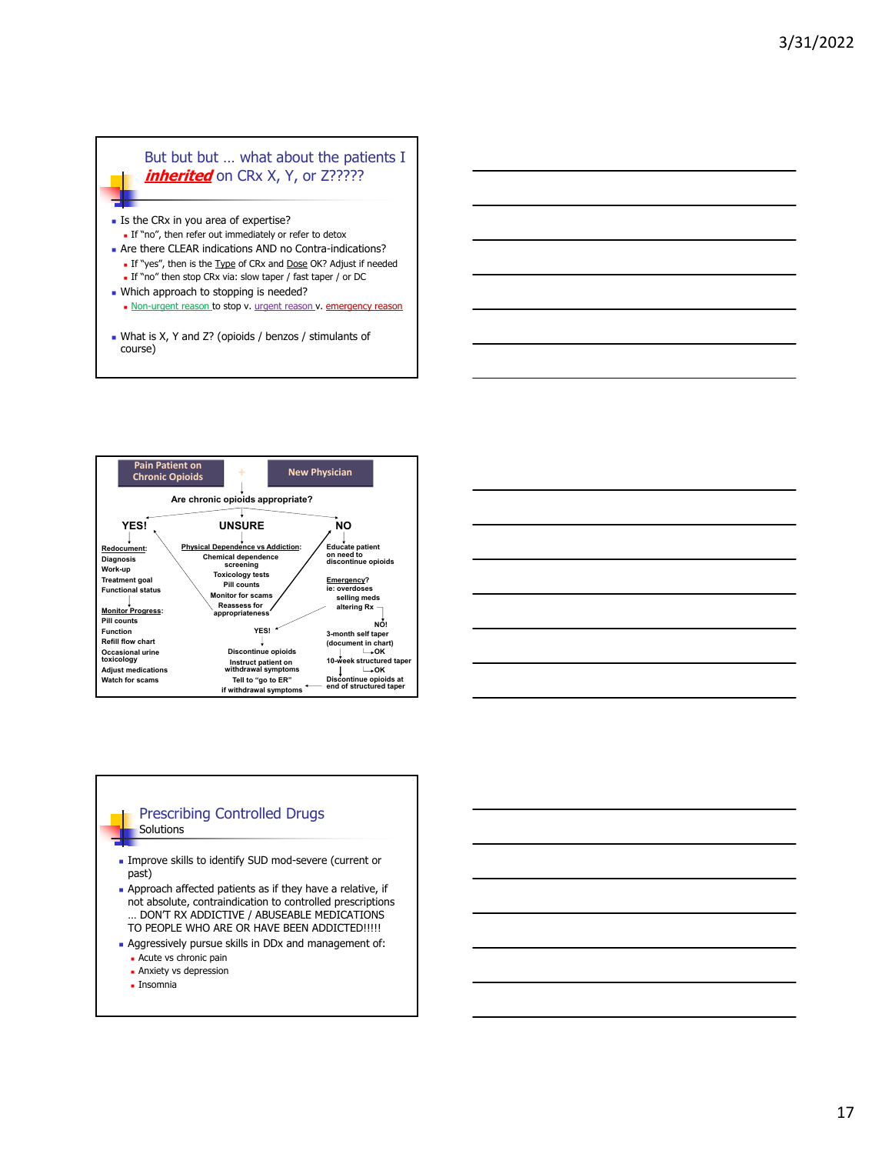## But but but ... what about the patients I *inherited* on CRx X, Y, or Z?????

- Is the CRx in you area of expertise?
- If "no", then refer out immediately or refer to detox Are there CLEAR indications AND no Contra-indications?
- If "yes", then is the Type of CRx and Dose OK? Adjust if needed If "no" then stop CRx via: slow taper / fast taper / or DC
- **Which approach to stopping is needed?**
- Non-urgent reason to stop v. urgent reason v. emergency reason
- What is X, Y and Z? (opioids / benzos / stimulants of course)



| <u> 1989 - Johann Barn, mars ann an t-Amhainn an t-Amhainn an t-Amhainn an t-Amhainn an t-Amhainn an t-Amhainn an</u> |  |  |
|-----------------------------------------------------------------------------------------------------------------------|--|--|
| <u> 1989 - Johann Stein, marwolaethau a bhann an t-Albann an t-Albann an t-Albann an t-Albann an t-Albann an t-Al</u> |  |  |
| <u> 1989 - Johann Stoff, deutscher Stoff, der Stoff, der Stoff, der Stoff, der Stoff, der Stoff, der Stoff, der S</u> |  |  |
| <u> 1989 - Johann Stoff, deutscher Stoffen und der Stoffen und der Stoffen und der Stoffen und der Stoffen und de</u> |  |  |
| <u> 1989 - Johann Stoff, amerikansk politiker (d. 1989)</u>                                                           |  |  |
|                                                                                                                       |  |  |

#### Prescribing Controlled Drugs **Solutions**

- 
- Improve skills to identify SUD mod-severe (current or past)
- Approach affected patients as if they have a relative, if not absolute, contraindication to controlled prescriptions … DON'T RX ADDICTIVE / ABUSEABLE MEDICATIONS TO PEOPLE WHO ARE OR HAVE BEEN ADDICTED!!!!!
- Aggressively pursue skills in DDx and management of: **Acute vs chronic pain** 
	- **Anxiety vs depression**
	- **Insomnia**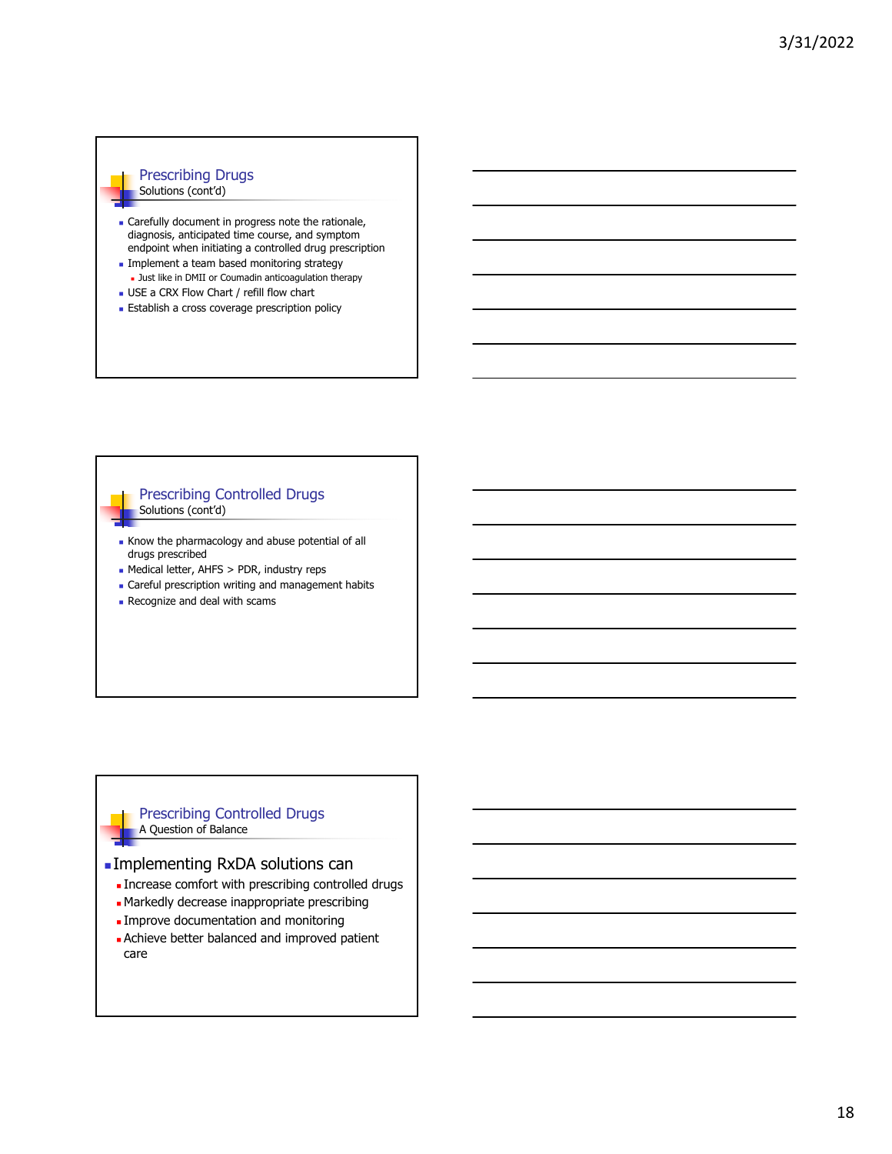### Prescribing Drugs Solutions (cont'd)

- **Carefully document in progress note the rationale,** diagnosis, anticipated time course, and symptom endpoint when initiating a controlled drug prescription
- **Implement a team based monitoring strategy Just like in DMII or Coumadin anticoagulation therapy**
- USE a CRX Flow Chart / refill flow chart
- **Establish a cross coverage prescription policy**

### Prescribing Controlled Drugs Solutions (cont'd)

- Know the pharmacology and abuse potential of all drugs prescribed
- Medical letter, AHFS > PDR, industry reps
- **Careful prescription writing and management habits**
- **Recognize and deal with scams**

### Prescribing Controlled Drugs A Question of Balance

### Implementing RxDA solutions can

- **Increase comfort with prescribing controlled drugs**
- Markedly decrease inappropriate prescribing
- **Improve documentation and monitoring**
- **Achieve better balanced and improved patient** care